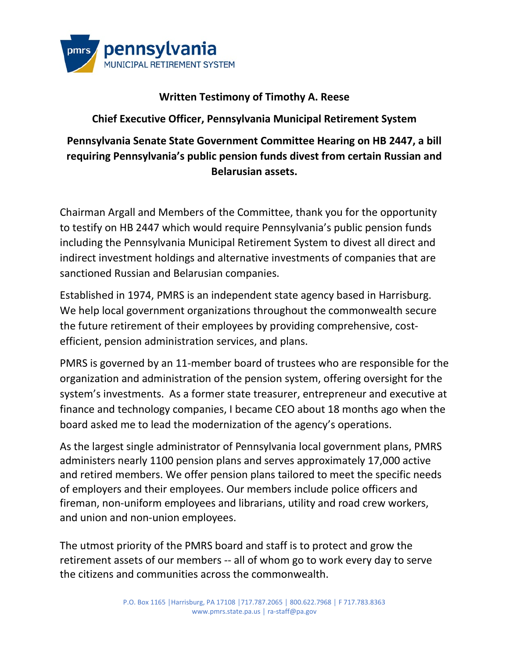

## **Written Testimony of Timothy A. Reese**

**Chief Executive Officer, Pennsylvania Municipal Retirement System**

## **Pennsylvania Senate State Government Committee Hearing on HB 2447, a bill requiring Pennsylvania's public pension funds divest from certain Russian and Belarusian assets.**

Chairman Argall and Members of the Committee, thank you for the opportunity to testify on HB 2447 which would require Pennsylvania's public pension funds including the Pennsylvania Municipal Retirement System to divest all direct and indirect investment holdings and alternative investments of companies that are sanctioned Russian and Belarusian companies.

Established in 1974, PMRS is an independent state agency based in Harrisburg. We help local government organizations throughout the commonwealth secure the future retirement of their employees by providing comprehensive, costefficient, pension administration services, and plans.

PMRS is governed by an 11-member board of trustees who are responsible for the organization and administration of the pension system, offering oversight for the system's investments. As a former state treasurer, entrepreneur and executive at finance and technology companies, I became CEO about 18 months ago when the board asked me to lead the modernization of the agency's operations.

As the largest single administrator of Pennsylvania local government plans, PMRS administers nearly 1100 pension plans and serves approximately 17,000 active and retired members. We offer pension plans tailored to meet the specific needs of employers and their employees. Our members include police officers and fireman, non-uniform employees and librarians, utility and road crew workers, and union and non-union employees.

The utmost priority of the PMRS board and staff is to protect and grow the retirement assets of our members -- all of whom go to work every day to serve the citizens and communities across the commonwealth.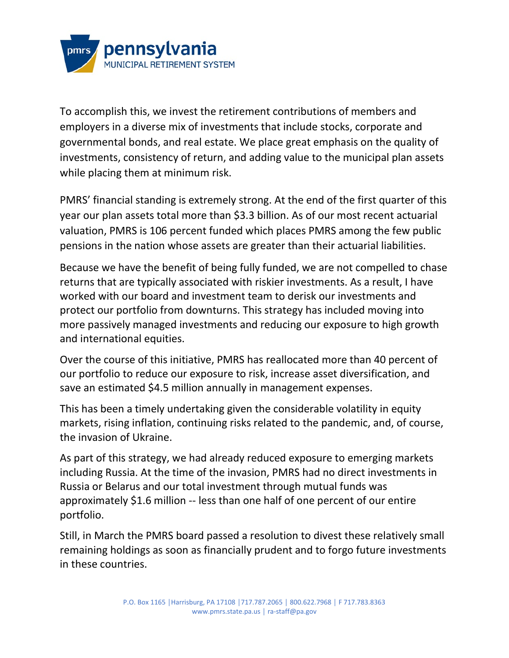

To accomplish this, we invest the retirement contributions of members and employers in a diverse mix of investments that include stocks, corporate and governmental bonds, and real estate. We place great emphasis on the quality of investments, consistency of return, and adding value to the municipal plan assets while placing them at minimum risk.

PMRS' financial standing is extremely strong. At the end of the first quarter of this year our plan assets total more than \$3.3 billion. As of our most recent actuarial valuation, PMRS is 106 percent funded which places PMRS among the few public pensions in the nation whose assets are greater than their actuarial liabilities.

Because we have the benefit of being fully funded, we are not compelled to chase returns that are typically associated with riskier investments. As a result, I have worked with our board and investment team to derisk our investments and protect our portfolio from downturns. This strategy has included moving into more passively managed investments and reducing our exposure to high growth and international equities.

Over the course of this initiative, PMRS has reallocated more than 40 percent of our portfolio to reduce our exposure to risk, increase asset diversification, and save an estimated \$4.5 million annually in management expenses.

This has been a timely undertaking given the considerable volatility in equity markets, rising inflation, continuing risks related to the pandemic, and, of course, the invasion of Ukraine.

As part of this strategy, we had already reduced exposure to emerging markets including Russia. At the time of the invasion, PMRS had no direct investments in Russia or Belarus and our total investment through mutual funds was approximately \$1.6 million -- less than one half of one percent of our entire portfolio.

Still, in March the PMRS board passed a resolution to divest these relatively small remaining holdings as soon as financially prudent and to forgo future investments in these countries.